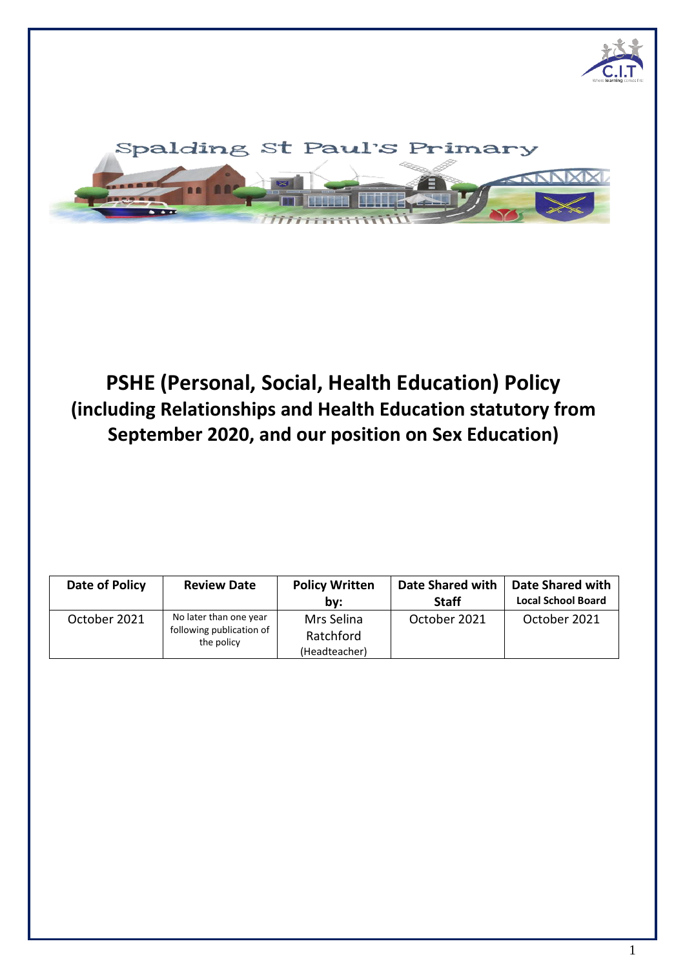



# **PSHE (Personal, Social, Health Education) Policy (including Relationships and Health Education statutory from September 2020, and our position on Sex Education)**

| Date of Policy | <b>Review Date</b>                                               | <b>Policy Written</b><br>bv:             | Date Shared with<br><b>Staff</b> | <b>Date Shared with</b><br><b>Local School Board</b> |
|----------------|------------------------------------------------------------------|------------------------------------------|----------------------------------|------------------------------------------------------|
| October 2021   | No later than one year<br>following publication of<br>the policy | Mrs Selina<br>Ratchford<br>(Headteacher) | October 2021                     | October 2021                                         |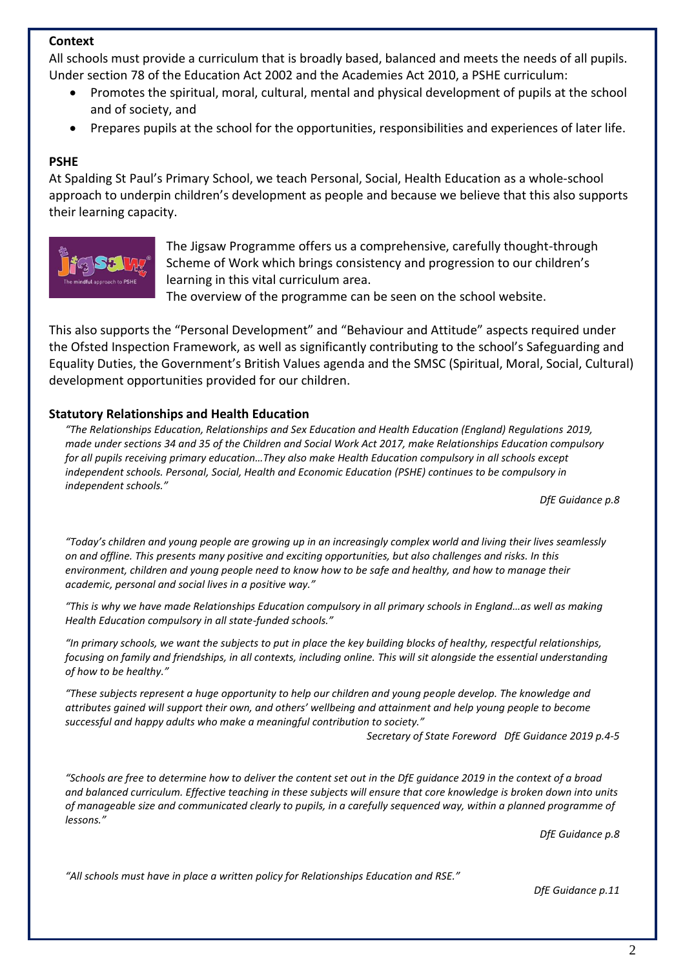## **Context**

All schools must provide a curriculum that is broadly based, balanced and meets the needs of all pupils. Under section 78 of the Education Act 2002 and the Academies Act 2010, a PSHE curriculum:

- Promotes the spiritual, moral, cultural, mental and physical development of pupils at the school and of society, and
- Prepares pupils at the school for the opportunities, responsibilities and experiences of later life.

#### **PSHE**

At Spalding St Paul's Primary School, we teach Personal, Social, Health Education as a whole-school approach to underpin children's development as people and because we believe that this also supports their learning capacity.



The Jigsaw Programme offers us a comprehensive, carefully thought-through Scheme of Work which brings consistency and progression to our children's learning in this vital curriculum area.

The overview of the programme can be seen on the school website.

This also supports the "Personal Development" and "Behaviour and Attitude" aspects required under the Ofsted Inspection Framework, as well as significantly contributing to the school's Safeguarding and Equality Duties, the Government's British Values agenda and the SMSC (Spiritual, Moral, Social, Cultural) development opportunities provided for our children.

#### **Statutory Relationships and Health Education**

*"The Relationships Education, Relationships and Sex Education and Health Education (England) Regulations 2019, made under sections 34 and 35 of the Children and Social Work Act 2017, make Relationships Education compulsory for all pupils receiving primary education…They also make Health Education compulsory in all schools except independent schools. Personal, Social, Health and Economic Education (PSHE) continues to be compulsory in independent schools."*

*DfE Guidance p.8*

*"Today's children and young people are growing up in an increasingly complex world and living their lives seamlessly on and offline. This presents many positive and exciting opportunities, but also challenges and risks. In this environment, children and young people need to know how to be safe and healthy, and how to manage their academic, personal and social lives in a positive way."*

*"This is why we have made Relationships Education compulsory in all primary schools in England…as well as making Health Education compulsory in all state-funded schools."*

*"In primary schools, we want the subjects to put in place the key building blocks of healthy, respectful relationships, focusing on family and friendships, in all contexts, including online. This will sit alongside the essential understanding of how to be healthy."*

*"These subjects represent a huge opportunity to help our children and young people develop. The knowledge and attributes gained will support their own, and others' wellbeing and attainment and help young people to become successful and happy adults who make a meaningful contribution to society."*

*Secretary of State Foreword DfE Guidance 2019 p.4-5*

*"Schools are free to determine how to deliver the content set out in the DfE guidance 2019 in the context of a broad and balanced curriculum. Effective teaching in these subjects will ensure that core knowledge is broken down into units of manageable size and communicated clearly to pupils, in a carefully sequenced way, within a planned programme of lessons."*

*DfE Guidance p.8*

*"All schools must have in place a written policy for Relationships Education and RSE."*

*DfE Guidance p.11*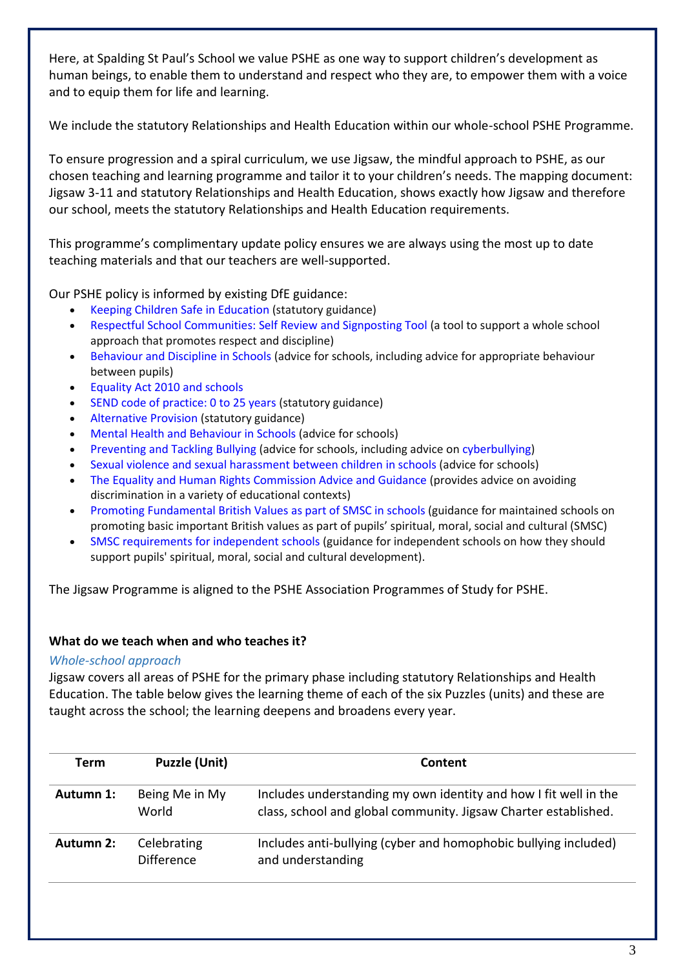Here, at Spalding St Paul's School we value PSHE as one way to support children's development as human beings, to enable them to understand and respect who they are, to empower them with a voice and to equip them for life and learning.

We include the statutory Relationships and Health Education within our whole-school PSHE Programme.

To ensure progression and a spiral curriculum, we use Jigsaw, the mindful approach to PSHE, as our chosen teaching and learning programme and tailor it to your children's needs. The mapping document: Jigsaw 3-11 and statutory Relationships and Health Education, shows exactly how Jigsaw and therefore our school, meets the statutory Relationships and Health Education requirements.

This programme's complimentary update policy ensures we are always using the most up to date teaching materials and that our teachers are well-supported.

Our PSHE policy is informed by existing DfE guidance:

- Keeping Children Safe in Education (statutory guidance)
- Respectful School Communities: Self Review and Signposting Tool (a tool to support a whole school approach that promotes respect and discipline)
- Behaviour and Discipline in Schools (advice for schools, including advice for appropriate behaviour between pupils)
- Equality Act 2010 and schools
- SEND code of practice: 0 to 25 years (statutory guidance)
- Alternative Provision (statutory guidance)
- Mental Health and Behaviour in Schools (advice for schools)
- Preventing and Tackling Bullying (advice for schools, including advice on cyberbullying)
- Sexual violence and sexual harassment between children in schools (advice for schools)
- The Equality and Human Rights Commission Advice and Guidance (provides advice on avoiding discrimination in a variety of educational contexts)
- Promoting Fundamental British Values as part of SMSC in schools (guidance for maintained schools on promoting basic important British values as part of pupils' spiritual, moral, social and cultural (SMSC)
- SMSC requirements for independent schools (guidance for independent schools on how they should support pupils' spiritual, moral, social and cultural development).

The Jigsaw Programme is aligned to the PSHE Association Programmes of Study for PSHE.

## **What do we teach when and who teaches it?**

## *Whole-school approach*

Jigsaw covers all areas of PSHE for the primary phase including statutory Relationships and Health Education. The table below gives the learning theme of each of the six Puzzles (units) and these are taught across the school; the learning deepens and broadens every year.

| Term      | <b>Puzzle (Unit)</b>             | Content                                                                                                                             |
|-----------|----------------------------------|-------------------------------------------------------------------------------------------------------------------------------------|
| Autumn 1: | Being Me in My<br>World          | Includes understanding my own identity and how I fit well in the<br>class, school and global community. Jigsaw Charter established. |
| Autumn 2: | Celebrating<br><b>Difference</b> | Includes anti-bullying (cyber and homophobic bullying included)<br>and understanding                                                |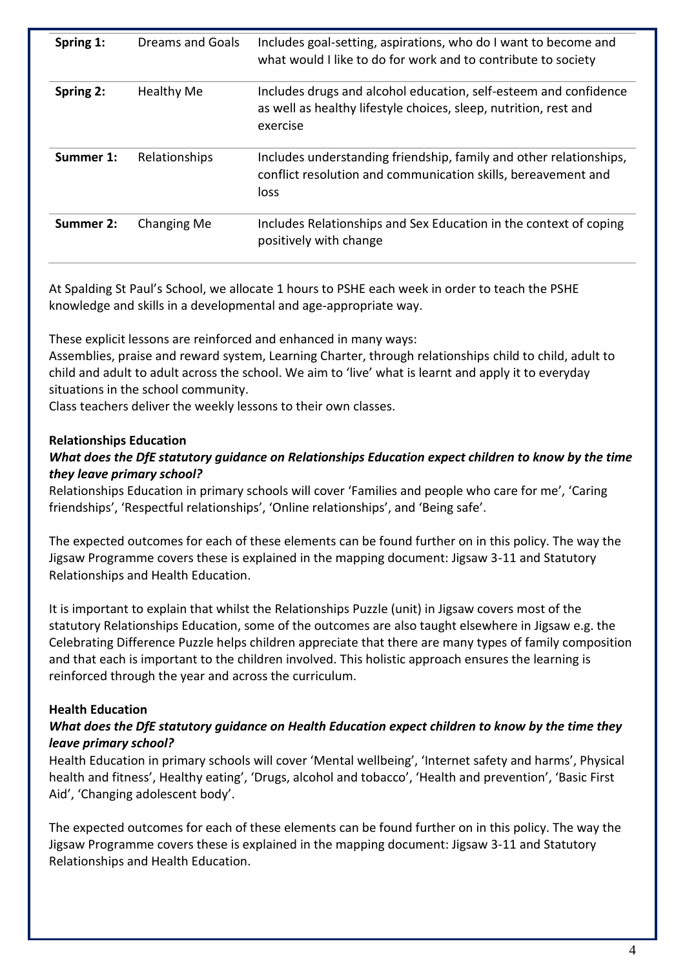| Spring 1: | <b>Dreams and Goals</b> | Includes goal-setting, aspirations, who do I want to become and<br>what would I like to do for work and to contribute to society                 |
|-----------|-------------------------|--------------------------------------------------------------------------------------------------------------------------------------------------|
| Spring 2: | <b>Healthy Me</b>       | Includes drugs and alcohol education, self-esteem and confidence<br>as well as healthy lifestyle choices, sleep, nutrition, rest and<br>exercise |
| Summer 1: | Relationships           | Includes understanding friendship, family and other relationships,<br>conflict resolution and communication skills, bereavement and<br>loss      |
| Summer 2: | Changing Me             | Includes Relationships and Sex Education in the context of coping<br>positively with change                                                      |

At Spalding St Paul's School, we allocate 1 hours to PSHE each week in order to teach the PSHE knowledge and skills in a developmental and age-appropriate way.

These explicit lessons are reinforced and enhanced in many ways:

Assemblies, praise and reward system, Learning Charter, through relationships child to child, adult to child and adult to adult across the school. We aim to 'live' what is learnt and apply it to everyday situations in the school community.

Class teachers deliver the weekly lessons to their own classes.

#### **Relationships Education**

## *What does the DfE statutory guidance on Relationships Education expect children to know by the time they leave primary school?*

Relationships Education in primary schools will cover 'Families and people who care for me', 'Caring friendships', 'Respectful relationships', 'Online relationships', and 'Being safe'.

The expected outcomes for each of these elements can be found further on in this policy. The way the Jigsaw Programme covers these is explained in the mapping document: Jigsaw 3-11 and Statutory Relationships and Health Education.

It is important to explain that whilst the Relationships Puzzle (unit) in Jigsaw covers most of the statutory Relationships Education, some of the outcomes are also taught elsewhere in Jigsaw e.g. the Celebrating Difference Puzzle helps children appreciate that there are many types of family composition and that each is important to the children involved. This holistic approach ensures the learning is reinforced through the year and across the curriculum.

#### **Health Education**

#### *What does the DfE statutory guidance on Health Education expect children to know by the time they leave primary school?*

Health Education in primary schools will cover 'Mental wellbeing', 'Internet safety and harms', Physical health and fitness', Healthy eating', 'Drugs, alcohol and tobacco', 'Health and prevention', 'Basic First Aid', 'Changing adolescent body'.

The expected outcomes for each of these elements can be found further on in this policy. The way the Jigsaw Programme covers these is explained in the mapping document: Jigsaw 3-11 and Statutory Relationships and Health Education.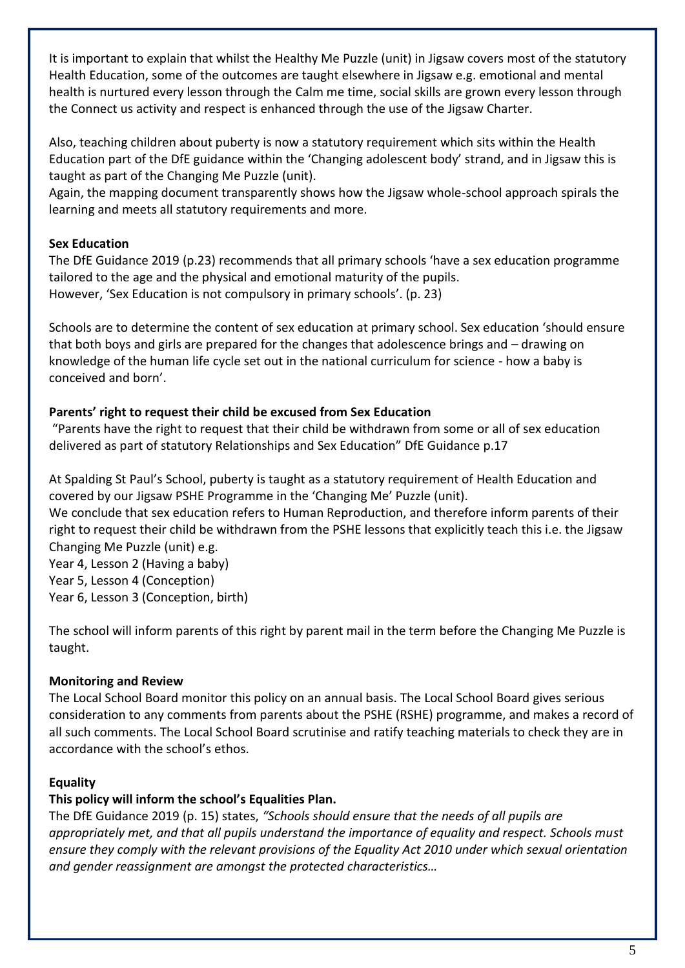It is important to explain that whilst the Healthy Me Puzzle (unit) in Jigsaw covers most of the statutory Health Education, some of the outcomes are taught elsewhere in Jigsaw e.g. emotional and mental health is nurtured every lesson through the Calm me time, social skills are grown every lesson through the Connect us activity and respect is enhanced through the use of the Jigsaw Charter.

Also, teaching children about puberty is now a statutory requirement which sits within the Health Education part of the DfE guidance within the 'Changing adolescent body' strand, and in Jigsaw this is taught as part of the Changing Me Puzzle (unit).

Again, the mapping document transparently shows how the Jigsaw whole-school approach spirals the learning and meets all statutory requirements and more.

## **Sex Education**

The DfE Guidance 2019 (p.23) recommends that all primary schools 'have a sex education programme tailored to the age and the physical and emotional maturity of the pupils. However, 'Sex Education is not compulsory in primary schools'. (p. 23)

Schools are to determine the content of sex education at primary school. Sex education 'should ensure that both boys and girls are prepared for the changes that adolescence brings and – drawing on knowledge of the human life cycle set out in the national curriculum for science - how a baby is conceived and born'.

# **Parents' right to request their child be excused from Sex Education**

"Parents have the right to request that their child be withdrawn from some or all of sex education delivered as part of statutory Relationships and Sex Education" DfE Guidance p.17

At Spalding St Paul's School, puberty is taught as a statutory requirement of Health Education and covered by our Jigsaw PSHE Programme in the 'Changing Me' Puzzle (unit).

We conclude that sex education refers to Human Reproduction, and therefore inform parents of their right to request their child be withdrawn from the PSHE lessons that explicitly teach this i.e. the Jigsaw Changing Me Puzzle (unit) e.g.

Year 4, Lesson 2 (Having a baby) Year 5, Lesson 4 (Conception) Year 6, Lesson 3 (Conception, birth)

The school will inform parents of this right by parent mail in the term before the Changing Me Puzzle is taught.

# **Monitoring and Review**

The Local School Board monitor this policy on an annual basis. The Local School Board gives serious consideration to any comments from parents about the PSHE (RSHE) programme, and makes a record of all such comments. The Local School Board scrutinise and ratify teaching materials to check they are in accordance with the school's ethos.

# **Equality**

# **This policy will inform the school's Equalities Plan.**

The DfE Guidance 2019 (p. 15) states, *"Schools should ensure that the needs of all pupils are appropriately met, and that all pupils understand the importance of equality and respect. Schools must ensure they comply with the relevant provisions of the Equality Act 2010 under which sexual orientation and gender reassignment are amongst the protected characteristics…*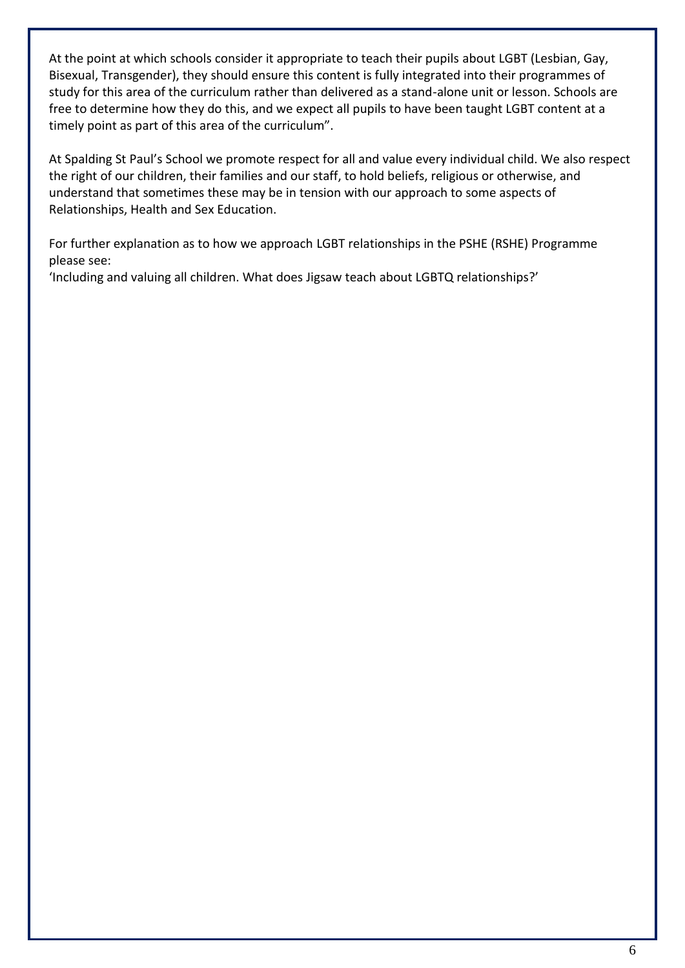At the point at which schools consider it appropriate to teach their pupils about LGBT (Lesbian, Gay, Bisexual, Transgender), they should ensure this content is fully integrated into their programmes of study for this area of the curriculum rather than delivered as a stand-alone unit or lesson. Schools are free to determine how they do this, and we expect all pupils to have been taught LGBT content at a timely point as part of this area of the curriculum".

At Spalding St Paul's School we promote respect for all and value every individual child. We also respect the right of our children, their families and our staff, to hold beliefs, religious or otherwise, and understand that sometimes these may be in tension with our approach to some aspects of Relationships, Health and Sex Education.

For further explanation as to how we approach LGBT relationships in the PSHE (RSHE) Programme please see:

'Including and valuing all children. What does Jigsaw teach about LGBTQ relationships?'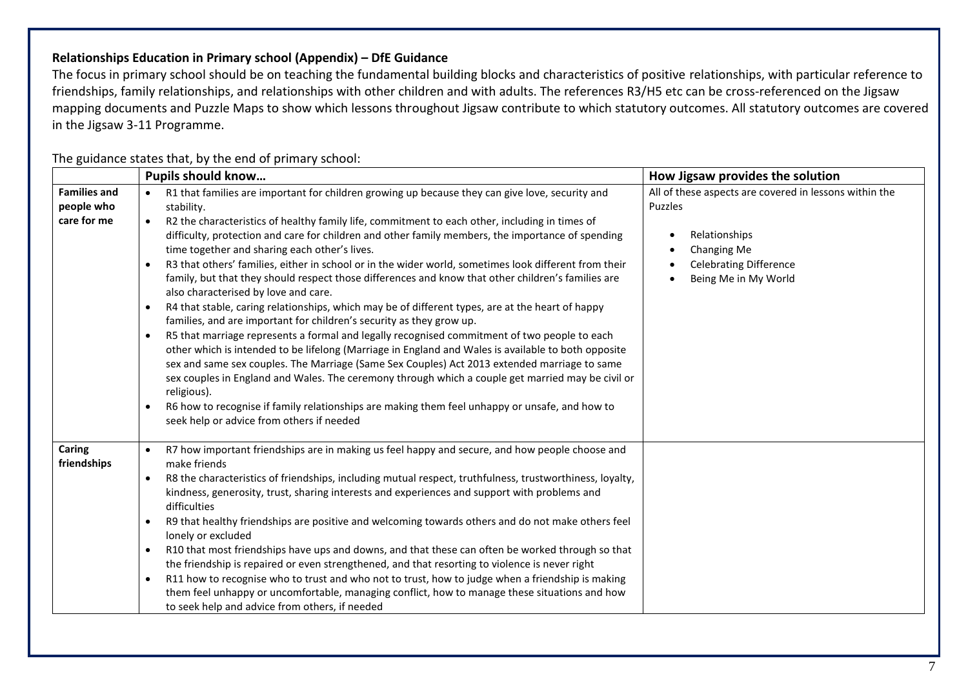## **Relationships Education in Primary school (Appendix) – DfE Guidance**

The focus in primary school should be on teaching the fundamental building blocks and characteristics of positive relationships, with particular reference to friendships, family relationships, and relationships with other children and with adults. The references R3/H5 etc can be cross-referenced on the Jigsaw mapping documents and Puzzle Maps to show which lessons throughout Jigsaw contribute to which statutory outcomes. All statutory outcomes are covered in the Jigsaw 3-11 Programme.

|                                                  | <b>Pupils should know</b>                                                                                                                                                                                                                                                                                                                                                                                                                                                                                                                                                                                                                                                                                                                                                                                                                                                                                                                                                                                                                                                                                                                                                                                                                                                                                                                                                                                                                           | How Jigsaw provides the solution                                                                                                                           |  |
|--------------------------------------------------|-----------------------------------------------------------------------------------------------------------------------------------------------------------------------------------------------------------------------------------------------------------------------------------------------------------------------------------------------------------------------------------------------------------------------------------------------------------------------------------------------------------------------------------------------------------------------------------------------------------------------------------------------------------------------------------------------------------------------------------------------------------------------------------------------------------------------------------------------------------------------------------------------------------------------------------------------------------------------------------------------------------------------------------------------------------------------------------------------------------------------------------------------------------------------------------------------------------------------------------------------------------------------------------------------------------------------------------------------------------------------------------------------------------------------------------------------------|------------------------------------------------------------------------------------------------------------------------------------------------------------|--|
| <b>Families and</b><br>people who<br>care for me | R1 that families are important for children growing up because they can give love, security and<br>stability.<br>R2 the characteristics of healthy family life, commitment to each other, including in times of<br>$\bullet$<br>difficulty, protection and care for children and other family members, the importance of spending<br>time together and sharing each other's lives.<br>R3 that others' families, either in school or in the wider world, sometimes look different from their<br>$\bullet$<br>family, but that they should respect those differences and know that other children's families are<br>also characterised by love and care.<br>R4 that stable, caring relationships, which may be of different types, are at the heart of happy<br>$\bullet$<br>families, and are important for children's security as they grow up.<br>R5 that marriage represents a formal and legally recognised commitment of two people to each<br>$\bullet$<br>other which is intended to be lifelong (Marriage in England and Wales is available to both opposite<br>sex and same sex couples. The Marriage (Same Sex Couples) Act 2013 extended marriage to same<br>sex couples in England and Wales. The ceremony through which a couple get married may be civil or<br>religious).<br>R6 how to recognise if family relationships are making them feel unhappy or unsafe, and how to<br>$\bullet$<br>seek help or advice from others if needed | All of these aspects are covered in lessons within the<br>Puzzles<br>Relationships<br>Changing Me<br><b>Celebrating Difference</b><br>Being Me in My World |  |
| Caring<br>friendships                            | R7 how important friendships are in making us feel happy and secure, and how people choose and<br>$\bullet$<br>make friends<br>R8 the characteristics of friendships, including mutual respect, truthfulness, trustworthiness, loyalty,<br>$\bullet$<br>kindness, generosity, trust, sharing interests and experiences and support with problems and<br>difficulties<br>R9 that healthy friendships are positive and welcoming towards others and do not make others feel<br>$\bullet$<br>lonely or excluded<br>R10 that most friendships have ups and downs, and that these can often be worked through so that<br>$\bullet$<br>the friendship is repaired or even strengthened, and that resorting to violence is never right<br>R11 how to recognise who to trust and who not to trust, how to judge when a friendship is making<br>$\bullet$<br>them feel unhappy or uncomfortable, managing conflict, how to manage these situations and how<br>to seek help and advice from others, if needed                                                                                                                                                                                                                                                                                                                                                                                                                                                 |                                                                                                                                                            |  |

#### The guidance states that, by the end of primary school: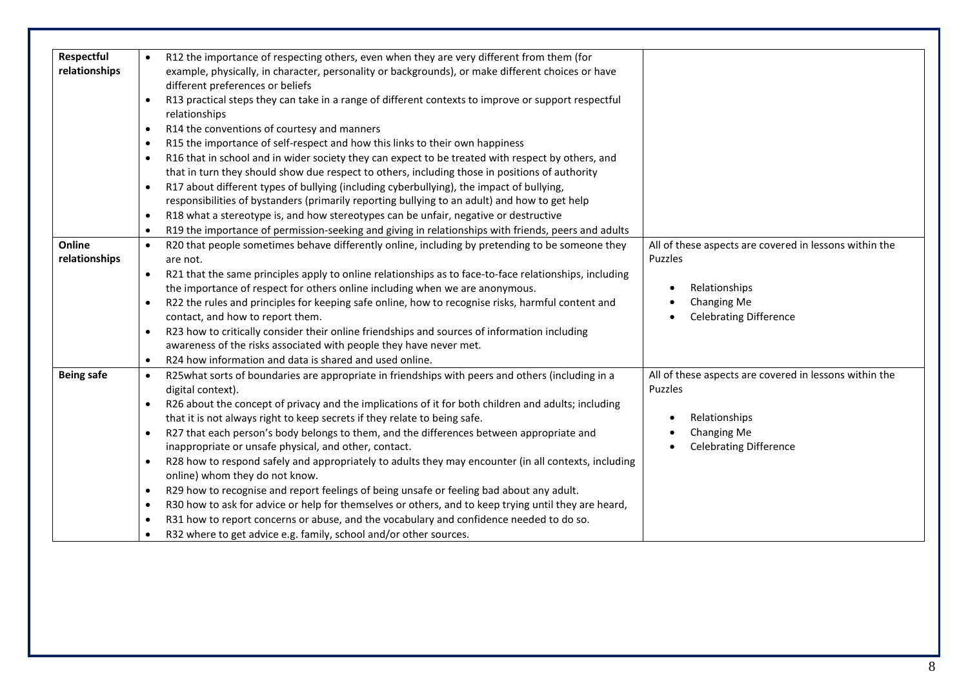| Respectful        |           | R12 the importance of respecting others, even when they are very different from them (for                                             |                                                        |
|-------------------|-----------|---------------------------------------------------------------------------------------------------------------------------------------|--------------------------------------------------------|
| relationships     |           | example, physically, in character, personality or backgrounds), or make different choices or have<br>different preferences or beliefs |                                                        |
|                   | $\bullet$ | R13 practical steps they can take in a range of different contexts to improve or support respectful<br>relationships                  |                                                        |
|                   | $\bullet$ | R14 the conventions of courtesy and manners                                                                                           |                                                        |
|                   | $\bullet$ | R15 the importance of self-respect and how this links to their own happiness                                                          |                                                        |
|                   | $\bullet$ | R16 that in school and in wider society they can expect to be treated with respect by others, and                                     |                                                        |
|                   |           | that in turn they should show due respect to others, including those in positions of authority                                        |                                                        |
|                   | $\bullet$ | R17 about different types of bullying (including cyberbullying), the impact of bullying,                                              |                                                        |
|                   |           | responsibilities of bystanders (primarily reporting bullying to an adult) and how to get help                                         |                                                        |
|                   | $\bullet$ | R18 what a stereotype is, and how stereotypes can be unfair, negative or destructive                                                  |                                                        |
|                   | $\bullet$ | R19 the importance of permission-seeking and giving in relationships with friends, peers and adults                                   |                                                        |
| Online            | $\bullet$ | R20 that people sometimes behave differently online, including by pretending to be someone they                                       | All of these aspects are covered in lessons within the |
| relationships     |           | are not.                                                                                                                              | Puzzles                                                |
|                   | $\bullet$ | R21 that the same principles apply to online relationships as to face-to-face relationships, including                                |                                                        |
|                   |           | the importance of respect for others online including when we are anonymous.                                                          | Relationships                                          |
|                   | $\bullet$ | R22 the rules and principles for keeping safe online, how to recognise risks, harmful content and                                     | Changing Me                                            |
|                   |           | contact, and how to report them.                                                                                                      | <b>Celebrating Difference</b>                          |
|                   | $\bullet$ | R23 how to critically consider their online friendships and sources of information including                                          |                                                        |
|                   |           | awareness of the risks associated with people they have never met.                                                                    |                                                        |
|                   | $\bullet$ | R24 how information and data is shared and used online.                                                                               |                                                        |
| <b>Being safe</b> | $\bullet$ | R25what sorts of boundaries are appropriate in friendships with peers and others (including in a                                      | All of these aspects are covered in lessons within the |
|                   |           | digital context).                                                                                                                     | Puzzles                                                |
|                   |           | R26 about the concept of privacy and the implications of it for both children and adults; including                                   |                                                        |
|                   |           | that it is not always right to keep secrets if they relate to being safe.                                                             | Relationships                                          |
|                   | $\bullet$ | R27 that each person's body belongs to them, and the differences between appropriate and                                              | Changing Me                                            |
|                   |           | inappropriate or unsafe physical, and other, contact.                                                                                 | <b>Celebrating Difference</b>                          |
|                   | $\bullet$ | R28 how to respond safely and appropriately to adults they may encounter (in all contexts, including                                  |                                                        |
|                   |           | online) whom they do not know.                                                                                                        |                                                        |
|                   | $\bullet$ | R29 how to recognise and report feelings of being unsafe or feeling bad about any adult.                                              |                                                        |
|                   | $\bullet$ | R30 how to ask for advice or help for themselves or others, and to keep trying until they are heard,                                  |                                                        |
|                   | $\bullet$ | R31 how to report concerns or abuse, and the vocabulary and confidence needed to do so.                                               |                                                        |
|                   |           | R32 where to get advice e.g. family, school and/or other sources.                                                                     |                                                        |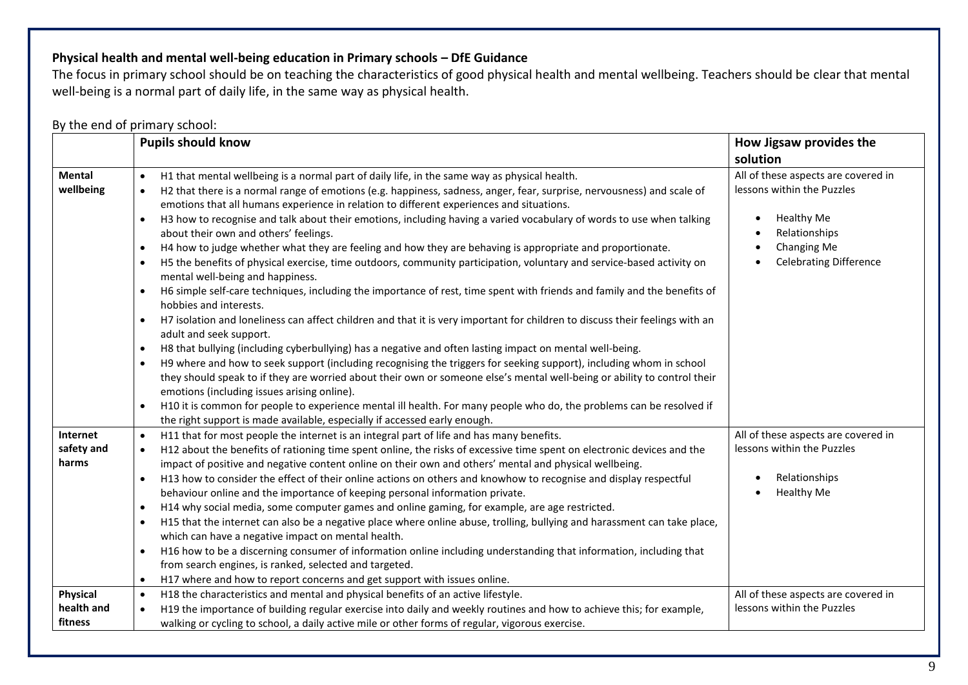## **Physical health and mental well-being education in Primary schools – DfE Guidance**

The focus in primary school should be on teaching the characteristics of good physical health and mental wellbeing. Teachers should be clear that mental well-being is a normal part of daily life, in the same way as physical health.

## By the end of primary school:

|                                   | <b>Pupils should know</b>                                                                                                                                                                                                                                                                                                                                                                                                                                                                                                                                                                                                                                                                                                                                                                                                                                                                                                                                                                                                                                                                                                                                                                                                                                                                                                                                                                                                                                                                                                                                                                                                                                                                                                                                          | How Jigsaw provides the<br>solution                                                                                                                     |
|-----------------------------------|--------------------------------------------------------------------------------------------------------------------------------------------------------------------------------------------------------------------------------------------------------------------------------------------------------------------------------------------------------------------------------------------------------------------------------------------------------------------------------------------------------------------------------------------------------------------------------------------------------------------------------------------------------------------------------------------------------------------------------------------------------------------------------------------------------------------------------------------------------------------------------------------------------------------------------------------------------------------------------------------------------------------------------------------------------------------------------------------------------------------------------------------------------------------------------------------------------------------------------------------------------------------------------------------------------------------------------------------------------------------------------------------------------------------------------------------------------------------------------------------------------------------------------------------------------------------------------------------------------------------------------------------------------------------------------------------------------------------------------------------------------------------|---------------------------------------------------------------------------------------------------------------------------------------------------------|
| <b>Mental</b><br>wellbeing        | H1 that mental wellbeing is a normal part of daily life, in the same way as physical health.<br>$\bullet$<br>H2 that there is a normal range of emotions (e.g. happiness, sadness, anger, fear, surprise, nervousness) and scale of<br>emotions that all humans experience in relation to different experiences and situations.<br>H3 how to recognise and talk about their emotions, including having a varied vocabulary of words to use when talking<br>about their own and others' feelings.<br>H4 how to judge whether what they are feeling and how they are behaving is appropriate and proportionate.<br>$\bullet$<br>H5 the benefits of physical exercise, time outdoors, community participation, voluntary and service-based activity on<br>$\bullet$<br>mental well-being and happiness.<br>H6 simple self-care techniques, including the importance of rest, time spent with friends and family and the benefits of<br>hobbies and interests.<br>H7 isolation and loneliness can affect children and that it is very important for children to discuss their feelings with an<br>adult and seek support.<br>H8 that bullying (including cyberbullying) has a negative and often lasting impact on mental well-being.<br>$\bullet$<br>H9 where and how to seek support (including recognising the triggers for seeking support), including whom in school<br>$\bullet$<br>they should speak to if they are worried about their own or someone else's mental well-being or ability to control their<br>emotions (including issues arising online).<br>H10 it is common for people to experience mental ill health. For many people who do, the problems can be resolved if<br>the right support is made available, especially if accessed early enough. | All of these aspects are covered in<br>lessons within the Puzzles<br><b>Healthy Me</b><br>Relationships<br>Changing Me<br><b>Celebrating Difference</b> |
| Internet<br>safety and<br>harms   | H11 that for most people the internet is an integral part of life and has many benefits.<br>$\bullet$<br>H12 about the benefits of rationing time spent online, the risks of excessive time spent on electronic devices and the<br>$\bullet$<br>impact of positive and negative content online on their own and others' mental and physical wellbeing.<br>H13 how to consider the effect of their online actions on others and knowhow to recognise and display respectful<br>$\bullet$<br>behaviour online and the importance of keeping personal information private.<br>H14 why social media, some computer games and online gaming, for example, are age restricted.<br>H15 that the internet can also be a negative place where online abuse, trolling, bullying and harassment can take place,<br>$\bullet$<br>which can have a negative impact on mental health.<br>H16 how to be a discerning consumer of information online including understanding that information, including that<br>$\bullet$<br>from search engines, is ranked, selected and targeted.<br>H17 where and how to report concerns and get support with issues online.                                                                                                                                                                                                                                                                                                                                                                                                                                                                                                                                                                                                                   | All of these aspects are covered in<br>lessons within the Puzzles<br>Relationships<br>Healthy Me                                                        |
| Physical<br>health and<br>fitness | H18 the characteristics and mental and physical benefits of an active lifestyle.<br>$\bullet$<br>H19 the importance of building regular exercise into daily and weekly routines and how to achieve this; for example,<br>$\bullet$<br>walking or cycling to school, a daily active mile or other forms of regular, vigorous exercise.                                                                                                                                                                                                                                                                                                                                                                                                                                                                                                                                                                                                                                                                                                                                                                                                                                                                                                                                                                                                                                                                                                                                                                                                                                                                                                                                                                                                                              | All of these aspects are covered in<br>lessons within the Puzzles                                                                                       |